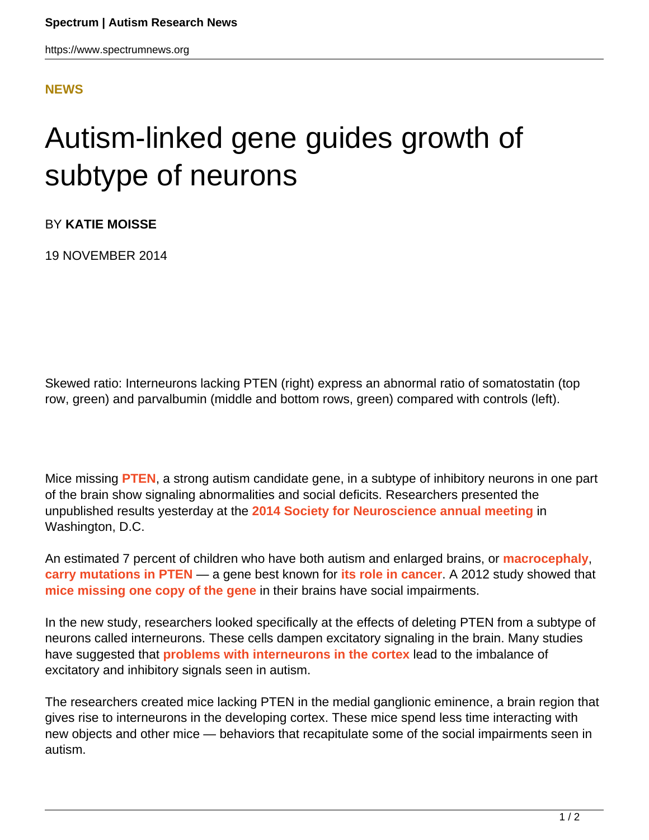## **[NEWS](HTTPS://WWW.SPECTRUMNEWS.ORG/NEWS/)**

## Autism-linked gene guides growth of subtype of neurons

BY **KATIE MOISSE**

19 NOVEMBER 2014

Skewed ratio: Interneurons lacking PTEN (right) express an abnormal ratio of somatostatin (top row, green) and parvalbumin (middle and bottom rows, green) compared with controls (left).

Mice missing **[PTEN](https://gene.sfari.org/GeneDetail/PTEN#HG)**, a strong autism candidate gene, in a subtype of inhibitory neurons in one part of the brain show signaling abnormalities and social deficits. Researchers presented the unpublished results yesterday at the **[2014 Society for Neuroscience annual meeting](https://www.spectrumnews.org/conference-news/2014/society-for-neuroscience-2014/)** in Washington, D.C.

An estimated 7 percent of children who have both autism and enlarged brains, or **[macrocephaly](https://www.spectrumnews.org/wiki/macrocephaly)**, **[carry mutations in PTEN](http://www.ncbi.nlm.nih.gov/pubmed/20533527)** — a gene best known for **[its role in cancer](https://www.spectrumnews.org/news/2008/autism-and-cancer-share-genetic-roots-researchers-find)**. A 2012 study showed that **[mice missing one copy of the gene](https://www.spectrumnews.org/news/2012/mouse-model-links-autism-risk-gene-to-mitochondria)** in their brains have social impairments.

In the new study, researchers looked specifically at the effects of deleting PTEN from a subtype of neurons called interneurons. These cells dampen excitatory signaling in the brain. Many studies have suggested that **[problems with interneurons in the cortex](https://www.spectrumnews.org/viewpoint/2011/a-case-for-the-importance-of-interneurons-in-autism)** lead to the imbalance of excitatory and inhibitory signals seen in autism.

The researchers created mice lacking PTEN in the medial ganglionic eminence, a brain region that gives rise to interneurons in the developing cortex. These mice spend less time interacting with new objects and other mice — behaviors that recapitulate some of the social impairments seen in autism.